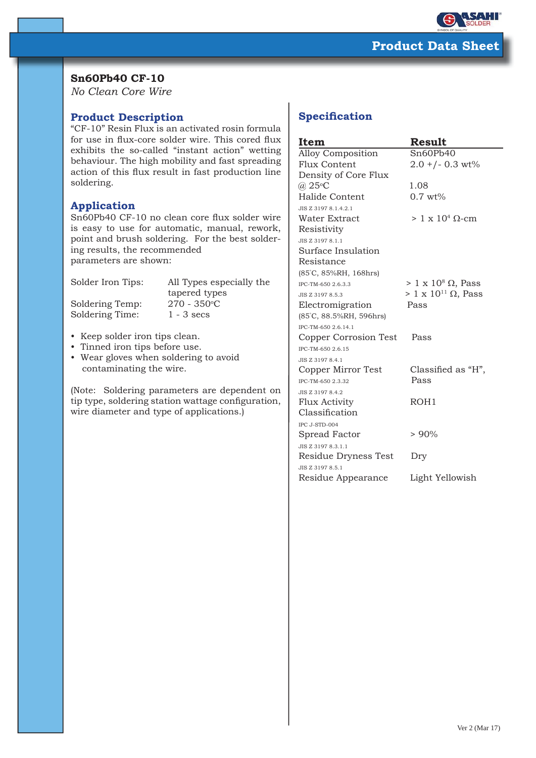

## **Sn60Pb40 CF-10**

*No Clean Core Wire*

## **Product Description**

"CF-10" Resin Flux is an activated rosin formula for use in flux-core solder wire. This cored flux exhibits the so-called "instant action" wetting behaviour. The high mobility and fast spreading action of this flux result in fast production line soldering.

### **Application**

Sn60Pb40 CF-10 no clean core flux solder wire is easy to use for automatic, manual, rework, point and brush soldering. For the best soldering results, the recommended parameters are shown:

Solder Iron Tips: All Types especially the

Soldering Temp: Soldering Time: 1 - 3 secs

 tapered types  $270 - 350^{\circ}$ C

- Keep solder iron tips clean.
- Tinned iron tips before use.
- Wear gloves when soldering to avoid contaminating the wire.

(Note: Soldering parameters are dependent on tip type, soldering station wattage configuration, wire diameter and type of applications.)

# **Specification**

| Item                          | Result                          |
|-------------------------------|---------------------------------|
| <b>Alloy Composition</b>      | Sn60Pb40                        |
| Flux Content                  | $2.0 + (-0.3 wt%)$              |
| Density of Core Flux          |                                 |
| $(a)$ 25 $\mathrm{^{\circ}C}$ | 1.08                            |
| Halide Content                | $0.7 \text{ wt%}$               |
| JIS Z 3197 8.1.4.2.1          |                                 |
| Water Extract                 | $> 1 \times 10^4$ Q-cm          |
| Resistivity                   |                                 |
| JIS Z 3197 8.1.1              |                                 |
| Surface Insulation            |                                 |
| Resistance                    |                                 |
| (85°C, 85%RH, 168hrs)         |                                 |
| IPC-TM-650 2.6.3.3            | $> 1 \times 10^8 \Omega$ , Pass |
| JIS Z 3197 8.5.3              | $> 1 \times 10^{11}$ Ω, Pass    |
| Electromigration              | Pass                            |
| (85°C, 88.5%RH, 596hrs)       |                                 |
| IPC-TM-650 2.6.14.1           |                                 |
| Copper Corrosion Test         | Pass                            |
| IPC-TM-650 2.6.15             |                                 |
| JIS Z 3197 8.4.1              |                                 |
| Copper Mirror Test            | Classified as "H",              |
| IPC-TM-650 2.3.32             | Pass                            |
| JIS Z 3197 8.4.2              |                                 |
| Flux Activity                 | ROH1                            |
| Classification                |                                 |
| IPC J-STD-004                 |                                 |
| Spread Factor                 | > 90%                           |
| JIS Z 3197 8.3.1.1            |                                 |
| Residue Dryness Test          | Dry                             |
| JIS Z 3197 8.5.1              |                                 |
| Residue Appearance            | Light Yellowish                 |